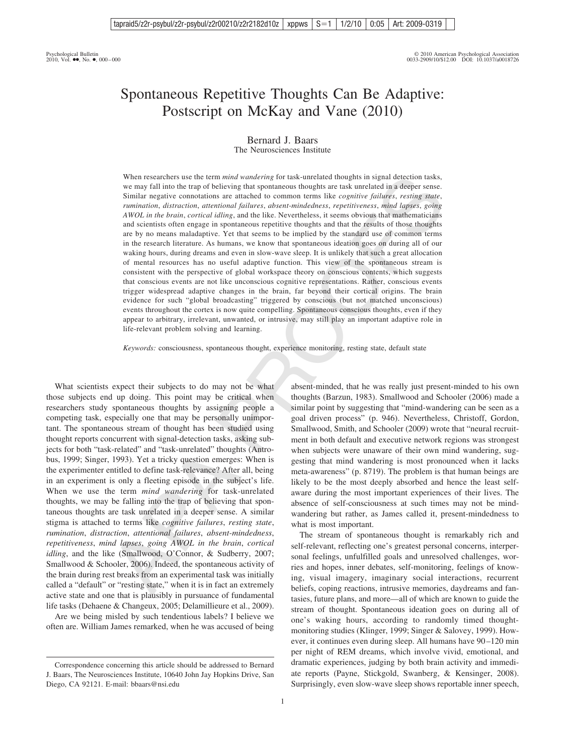# Spontaneous Repetitive Thoughts Can Be Adaptive: Postscript on McKay and Vane (2010)

## Bernard J. Baars The Neurosciences Institute

When researches use the term *mind wonderling* for task-unrelated thoughts in signal describes and increase and the trap of believing that points are used at the strength of the strength computations are utiledel to commu When researchers use the term *mind wandering* for task-unrelated thoughts in signal detection tasks, we may fall into the trap of believing that spontaneous thoughts are task unrelated in a deeper sense. Similar negative connotations are attached to common terms like *cognitive failures*, *resting state*, *rumination*, *distraction*, *attentional failures*, *absent-mindedness*, *repetitiveness*, *mind lapses*, *going AWOL in the brain*, *cortical idling*, and the like. Nevertheless, it seems obvious that mathematicians and scientists often engage in spontaneous repetitive thoughts and that the results of those thoughts are by no means maladaptive. Yet that seems to be implied by the standard use of common terms in the research literature. As humans, we know that spontaneous ideation goes on during all of our waking hours, during dreams and even in slow-wave sleep. It is unlikely that such a great allocation of mental resources has no useful adaptive function. This view of the spontaneous stream is consistent with the perspective of global workspace theory on conscious contents, which suggests that conscious events are not like unconscious cognitive representations. Rather, conscious events trigger widespread adaptive changes in the brain, far beyond their cortical origins. The brain evidence for such "global broadcasting" triggered by conscious (but not matched unconscious) events throughout the cortex is now quite compelling. Spontaneous conscious thoughts, even if they appear to arbitrary, irrelevant, unwanted, or intrusive, may still play an important adaptive role in life-relevant problem solving and learning.

*Keywords:* consciousness, spontaneous thought, experience monitoring, resting state, default state

What scientists expect their subjects to do may not be what those subjects end up doing. This point may be critical when researchers study spontaneous thoughts by assigning people a competing task, especially one that may be personally unimportant. The spontaneous stream of thought has been studied using thought reports concurrent with signal-detection tasks, asking subjects for both "task-related" and "task-unrelated" thoughts (Antrobus, 1999; Singer, 1993). Yet a tricky question emerges: When is the experimenter entitled to define task-relevance? After all, being in an experiment is only a fleeting episode in the subject's life. When we use the term *mind wandering* for task-unrelated thoughts, we may be falling into the trap of believing that spontaneous thoughts are task unrelated in a deeper sense. A similar stigma is attached to terms like *cognitive failures*, *resting state*, *rumination*, *distraction*, *attentional failures*, *absent-mindedness*, *repetitiveness*, *mind lapses*, *going AWOL in the brain*, *cortical idling*, and the like (Smallwood, O'Connor, & Sudberry, 2007; Smallwood & Schooler, 2006). Indeed, the spontaneous activity of the brain during rest breaks from an experimental task was initially called a "default" or "resting state," when it is in fact an extremely active state and one that is plausibly in pursuance of fundamental life tasks (Dehaene & Changeux, 2005; Delamillieure et al., 2009).

Are we being misled by such tendentious labels? I believe we often are. William James remarked, when he was accused of being absent-minded, that he was really just present-minded to his own thoughts (Barzun, 1983). Smallwood and Schooler (2006) made a similar point by suggesting that "mind-wandering can be seen as a goal driven process" (p. 946). Nevertheless, Christoff, Gordon, Smallwood, Smith, and Schooler (2009) wrote that "neural recruitment in both default and executive network regions was strongest when subjects were unaware of their own mind wandering, suggesting that mind wandering is most pronounced when it lacks meta-awareness" (p. 8719). The problem is that human beings are likely to be the most deeply absorbed and hence the least selfaware during the most important experiences of their lives. The absence of self-consciousness at such times may not be mindwandering but rather, as James called it, present-mindedness to what is most important.

The stream of spontaneous thought is remarkably rich and self-relevant, reflecting one's greatest personal concerns, interpersonal feelings, unfulfilled goals and unresolved challenges, worries and hopes, inner debates, self-monitoring, feelings of knowing, visual imagery, imaginary social interactions, recurrent beliefs, coping reactions, intrusive memories, daydreams and fantasies, future plans, and more—all of which are known to guide the stream of thought. Spontaneous ideation goes on during all of one's waking hours, according to randomly timed thoughtmonitoring studies (Klinger, 1999; Singer & Salovey, 1999). However, it continues even during sleep. All humans have 90 –120 min per night of REM dreams, which involve vivid, emotional, and dramatic experiences, judging by both brain activity and immediate reports (Payne, Stickgold, Swanberg, & Kensinger, 2008). Surprisingly, even slow-wave sleep shows reportable inner speech,

Correspondence concerning this article should be addressed to Bernard J. Baars, The Neurosciences Institute, 10640 John Jay Hopkins Drive, San Diego, CA 92121. E-mail: bbaars@nsi.edu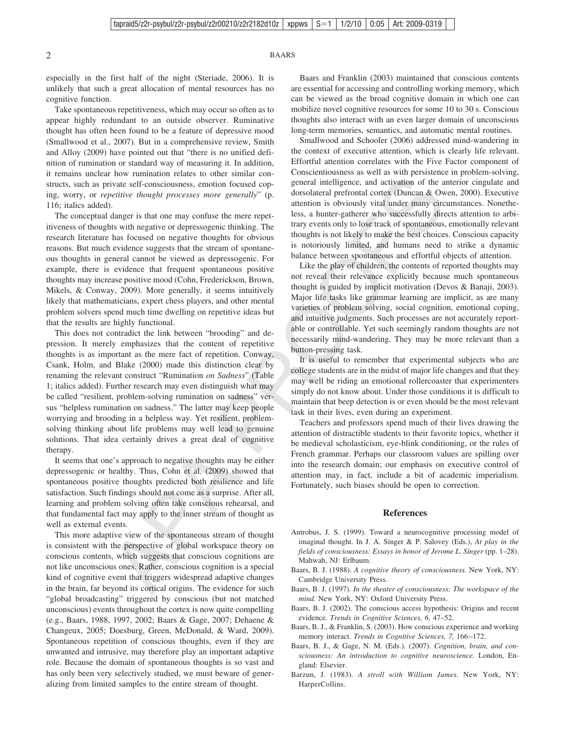# 2 BAARS

especially in the first half of the night (Steriade, 2006). It is unlikely that such a great allocation of mental resources has no cognitive function.

Take spontaneous repetitiveness, which may occur so often as to appear highly redundant to an outside observer. Ruminative thought has often been found to be a feature of depressive mood (Smallwood et al., 2007). But in a comprehensive review, Smith and Alloy (2009) have pointed out that "there is no unified definition of rumination or standard way of measuring it. In addition, it remains unclear how rumination relates to other similar constructs, such as private self-consciousness, emotion focused coping, worry, or *repetitive thought processes more generally*" (p. 116; italics added).

The conceptual danger is that one may confuse the mere repetitiveness of thoughts with negative or depressogenic thinking. The research literature has focused on negative thoughts for obvious reasons. But much evidence suggests that the stream of spontaneous thoughts in general cannot be viewed as depressogenic. For example, there is evidence that frequent spontaneous positive thoughts may increase positive mood (Cohn, Frederickson, Brown, Mikels, & Conway, 2009). More generally, it seems intuitively likely that mathematicians, expert chess players, and other mental problem solvers spend much time dwelling on repetitive ideas but that the results are highly functional.

From the main to the same in the control of the same will permit of the main of the main of the same in the main of the same in the same in the same in the same in the same in the same in the same in the same in the same This does not contradict the link between "brooding" and depression. It merely emphasizes that the content of repetitive thoughts is as important as the mere fact of repetition. Conway, Csank, Holm, and Blake (2000) made this distinction clear by renaming the relevant construct "Rumination *on Sadness*" (Table 1; italics added). Further research may even distinguish what may be called "resilient, problem-solving rumination on sadness" versus "helpless rumination on sadness." The latter may keep people worrying and brooding in a helpless way. Yet resilient, problemsolving thinking about life problems may well lead to genuine solutions. That idea certainly drives a great deal of cognitive therapy.

It seems that one's approach to negative thoughts may be either depressogenic or healthy. Thus, Cohn et al. (2009) showed that spontaneous positive thoughts predicted both resilience and life satisfaction. Such findings should not come as a surprise. After all, learning and problem solving often take conscious rehearsal, and that fundamental fact may apply to the inner stream of thought as well as external events.

This more adaptive view of the spontaneous stream of thought is consistent with the perspective of global workspace theory on conscious contents, which suggests that conscious cognitions are not like unconscious ones. Rather, conscious cognition is a special kind of cognitive event that triggers widespread adaptive changes in the brain, far beyond its cortical origins. The evidence for such "global broadcasting" triggered by conscious (but not matched unconscious) events throughout the cortex is now quite compelling (e.g., Baars, 1988, 1997, 2002; Baars & Gage, 2007; Dehaene & Changeux, 2005; Doesburg, Green, McDonald, & Ward, 2009). Spontaneous repetition of conscious thoughts, even if they are unwanted and intrusive, may therefore play an important adaptive role. Because the domain of spontaneous thoughts is so vast and has only been very selectively studied, we must beware of generalizing from limited samples to the entire stream of thought.

Baars and Franklin (2003) maintained that conscious contents are essential for accessing and controlling working memory, which can be viewed as the broad cognitive domain in which one can mobilize novel cognitive resources for some 10 to 30 s. Conscious thoughts also interact with an even larger domain of unconscious long-term memories, semantics, and automatic mental routines.

Smallwood and Schooler (2006) addressed mind-wandering in the context of executive attention, which is clearly life relevant. Effortful attention correlates with the Five Factor component of Conscientiousness as well as with persistence in problem-solving, general intelligence, and activation of the anterior cingulate and dorsolateral prefrontal cortex (Duncan & Owen, 2000). Executive attention is obviously vital under many circumstances. Nonetheless, a hunter-gatherer who successfully directs attention to arbitrary events only to lose track of spontaneous, emotionally relevant thoughts is not likely to make the best choices. Conscious capacity is notoriously limited, and humans need to strike a dynamic balance between spontaneous and effortful objects of attention.

Like the play of children, the contents of reported thoughts may not reveal their relevance explicitly because much spontaneous thought is guided by implicit motivation (Devos & Banaji, 2003). Major life tasks like grammar learning are implicit, as are many varieties of problem solving, social cognition, emotional coping, and intuitive judgments. Such processes are not accurately reportable or controllable. Yet such seemingly random thoughts are not necessarily mind-wandering. They may be more relevant than a button-pressing task.

It is useful to remember that experimental subjects who are college students are in the midst of major life changes and that they may well be riding an emotional rollercoaster that experimenters simply do not know about. Under those conditions it is difficult to maintain that beep detection is or even should be the most relevant task in their lives, even during an experiment.

Teachers and professors spend much of their lives drawing the attention of distractible students to their favorite topics, whether it be medieval scholasticism, eye-blink conditioning, or the rules of French grammar. Perhaps our classroom values are spilling over into the research domain; our emphasis on executive control of attention may, in fact, include a bit of academic imperialism. Fortunately, such biases should be open to correction.

#### **References**

- Antrobus, J. S. (1999). Toward a neurocognitive processing model of imaginal thought. In J. A. Singer & P. Salovey (Eds.), *At play in the fields of consciousness: Essays in honor of Jerome L. Singer* (pp. 1–28). Mahwah, NJ: Erlbaum.
- Baars, B. J. (1988). *A cognitive theory of consciousness.* New York, NY: Cambridge University Press.
- Baars, B. J. (1997). *In the theater of consciousness: The workspace of the mind.* New York, NY: Oxford University Press.
- Baars, B. J. (2002). The conscious access hypothesis: Origins and recent evidence. *Trends in Cognitive Sciences, 6,* 47–52.
- Baars, B. J., & Franklin, S. (2003). How conscious experience and working memory interact. *Trends in Cognitive Sciences*, 7, 166-172.
- Baars, B. J., & Gage, N. M. (Eds.). (2007). *Cognition, brain, and consciousness: An introduction to cognitive neuroscience.* London, England: Elsevier.
- Barzun, J. (1983). *A stroll with William James.* New York, NY: HarperCollins.